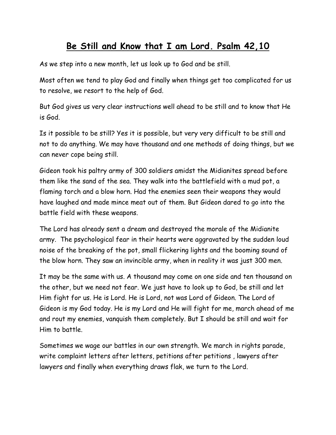## **Be Still and Know that I am Lord. Psalm 42,10**

As we step into a new month, let us look up to God and be still.

Most often we tend to play God and finally when things get too complicated for us to resolve, we resort to the help of God.

But God gives us very clear instructions well ahead to be still and to know that He is God.

Is it possible to be still? Yes it is possible, but very very difficult to be still and not to do anything. We may have thousand and one methods of doing things, but we can never cope being still.

Gideon took his paltry army of 300 soldiers amidst the Midianites spread before them like the sand of the sea. They walk into the battlefield with a mud pot, a flaming torch and a blow horn. Had the enemies seen their weapons they would have laughed and made mince meat out of them. But Gideon dared to go into the battle field with these weapons.

The Lord has already sent a dream and destroyed the morale of the Midianite army. The psychological fear in their hearts were aggravated by the sudden loud noise of the breaking of the pot, small flickering lights and the booming sound of the blow horn. They saw an invincible army, when in reality it was just 300 men.

It may be the same with us. A thousand may come on one side and ten thousand on the other, but we need not fear. We just have to look up to God, be still and let Him fight for us. He is Lord. He is Lord, not was Lord of Gideon. The Lord of Gideon is my God today. He is my Lord and He will fight for me, march ahead of me and rout my enemies, vanquish them completely. But I should be still and wait for Him to battle.

Sometimes we wage our battles in our own strength. We march in rights parade, write complaint letters after letters, petitions after petitions , lawyers after lawyers and finally when everything draws flak, we turn to the Lord.